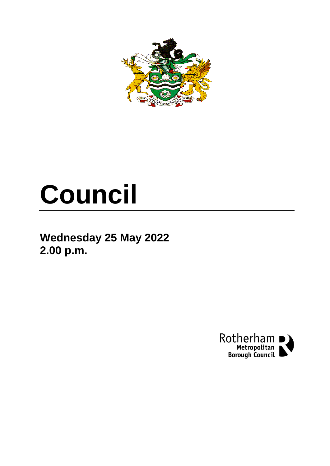

# **Council**

**Wednesday 25 May 2022 2.00 p.m.**

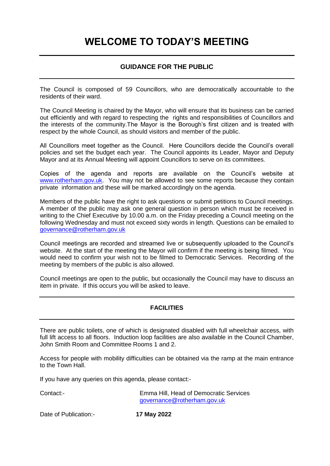## **WELCOME TO TODAY'S MEETING**

### **GUIDANCE FOR THE PUBLIC**

The Council is composed of 59 Councillors, who are democratically accountable to the residents of their ward.

The Council Meeting is chaired by the Mayor, who will ensure that its business can be carried out efficiently and with regard to respecting the rights and responsibilities of Councillors and the interests of the community.The Mayor is the Borough's first citizen and is treated with respect by the whole Council, as should visitors and member of the public.

All Councillors meet together as the Council. Here Councillors decide the Council's overall policies and set the budget each year. The Council appoints its Leader, Mayor and Deputy Mayor and at its Annual Meeting will appoint Councillors to serve on its committees.

Copies of the agenda and reports are available on the Council's website at [www.rotherham.gov.uk.](http://www.rotherham.gov.uk/) You may not be allowed to see some reports because they contain private information and these will be marked accordingly on the agenda.

Members of the public have the right to ask questions or submit petitions to Council meetings. A member of the public may ask one general question in person which must be received in writing to the Chief Executive by 10.00 a.m. on the Friday preceding a Council meeting on the following Wednesday and must not exceed sixty words in length. Questions can be emailed to [governance@rotherham.gov.uk](mailto:governance@rotherham.gov.uk)

Council meetings are recorded and streamed live or subsequently uploaded to the Council's website. At the start of the meeting the Mayor will confirm if the meeting is being filmed. You would need to confirm your wish not to be filmed to Democratic Services. Recording of the meeting by members of the public is also allowed.

Council meetings are open to the public, but occasionally the Council may have to discuss an item in private. If this occurs you will be asked to leave.

#### **FACILITIES**

There are public toilets, one of which is designated disabled with full wheelchair access, with full lift access to all floors. Induction loop facilities are also available in the Council Chamber, John Smith Room and Committee Rooms 1 and 2.

Access for people with mobility difficulties can be obtained via the ramp at the main entrance to the Town Hall.

If you have any queries on this agenda, please contact:-

Contact:- Emma Hill, Head of Democratic Services [governance@rotherham.gov.uk](mailto:governance@rotherham.gov.uk)

Date of Publication:- **17 May 2022**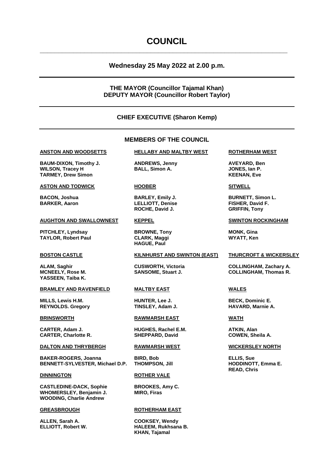### **COUNCIL**

**\_\_\_\_\_\_\_\_\_\_\_\_\_\_\_\_\_\_\_\_\_\_\_\_\_\_\_\_\_\_\_\_\_\_\_\_\_\_\_\_\_\_\_\_\_\_\_\_\_\_\_\_\_\_\_\_\_\_\_\_\_\_\_\_\_\_\_**

#### **Wednesday 25 May 2022 at 2.00 p.m.**

#### **THE MAYOR (Councillor Tajamal Khan) DEPUTY MAYOR (Councillor Robert Taylor)**

#### **CHIEF EXECUTIVE (Sharon Kemp)**

#### **MEMBERS OF THE COUNCIL**

**BAUM-DIXON, Timothy J. ANDREWS, Jenny AVEYARD, Ben WILSON, Tracey H BALL, Simon A. JONES, Ian P. TARMEY, Drew Simon KEENAN, Eve**

#### **ASTON AND TODWICK HOOBER SITWELL**

#### **AUGHTON AND SWALLOWNEST KEPPEL SWINTON ROCKINGHAM**

**PITCHLEY, Lyndsay <b>BROWNE, Tony MONK, Gina TAYLOR, Robert Paul CLARK, Maggi WYATT, Ken**

**YASSEEN, Taiba K.**

#### **BRAMLEY AND RAVENFIELD MALTBY EAST WALES**

**MILLS, Lewis H.M. HUNTER, Lee J. BECK, Dominic E.**  $REYNOLDS.$  **Gregory** 

**CARTER, Adam J. HUGHES, Rachel E.M. ATKIN, Alan**

#### **DALTON AND THRYBERGH RAWMARSH WEST WICKERSLEY NORTH**

**BAKER-ROGERS, Joanna BIRD, Bob ELLIS, Sue BENNETT-SYLVESTER, Michael D.P. THOMPSON, Jill HODDINOTT, Emma E.**

**CASTLEDINE-DACK, Sophie BROOKES, Amy C. WHOMERSLEY, Benjamin J. MIRO, Firas WOODING, Charlie Andrew**

**ALLEN, Sarah A. COOKSEY, Wendy**

#### **ANSTON AND WOODSETTS HELLABY AND MALTBY WEST ROTHERHAM WEST**

**BARKER, Aaron LELLIOTT, Denise FISHER, David F. ROCHE, David J. GRIFFIN, Tony**

**HAGUE, Paul**

#### **BOSTON CASTLE KILNHURST AND SWINTON (EAST) THURCROFT & WICKERSLEY**

**BRINSWORTH RAWMARSH EAST WATH**

**CARTER, Charlotte R. SHEPPARD, David COWEN, Sheila A.**

#### **DINNINGTON ROTHER VALE**

#### **GREASBROUGH ROTHERHAM EAST**

**ELLIOTT, Robert W. HALEEM, Rukhsana B. KHAN, Tajamal**

**BACON, Joshua BARLEY, Emily J. BURNETT, Simon L.**

**ALAM, Saghir CUSWORTH, Victoria COLLINGHAM, Zachary A. MCNEELY, Rose M. SANSOME, Stuart J. COLLINGHAM, Thomas R.**

**READ, Chris**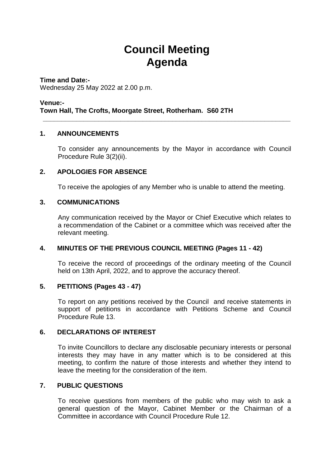# **Council Meeting Agenda**

**\_\_\_\_\_\_\_\_\_\_\_\_\_\_\_\_\_\_\_\_\_\_\_\_\_\_\_\_\_\_\_\_\_\_\_\_\_\_\_\_\_\_\_\_\_\_\_\_\_\_\_\_\_\_\_\_\_\_\_\_\_\_\_\_\_\_\_**

**Time and Date:-** Wednesday 25 May 2022 at 2.00 p.m.

### **Venue:- Town Hall, The Crofts, Moorgate Street, Rotherham. S60 2TH**

### **1. ANNOUNCEMENTS**

To consider any announcements by the Mayor in accordance with Council Procedure Rule 3(2)(ii).

### **2. APOLOGIES FOR ABSENCE**

To receive the apologies of any Member who is unable to attend the meeting.

### **3. COMMUNICATIONS**

Any communication received by the Mayor or Chief Executive which relates to a recommendation of the Cabinet or a committee which was received after the relevant meeting.

#### **4. MINUTES OF THE PREVIOUS COUNCIL MEETING (Pages 11 - 42)**

To receive the record of proceedings of the ordinary meeting of the Council held on 13th April, 2022, and to approve the accuracy thereof.

#### **5. PETITIONS (Pages 43 - 47)**

To report on any petitions received by the Council and receive statements in support of petitions in accordance with Petitions Scheme and Council Procedure Rule 13.

### **6. DECLARATIONS OF INTEREST**

To invite Councillors to declare any disclosable pecuniary interests or personal interests they may have in any matter which is to be considered at this meeting, to confirm the nature of those interests and whether they intend to leave the meeting for the consideration of the item.

#### **7. PUBLIC QUESTIONS**

To receive questions from members of the public who may wish to ask a general question of the Mayor, Cabinet Member or the Chairman of a Committee in accordance with Council Procedure Rule 12.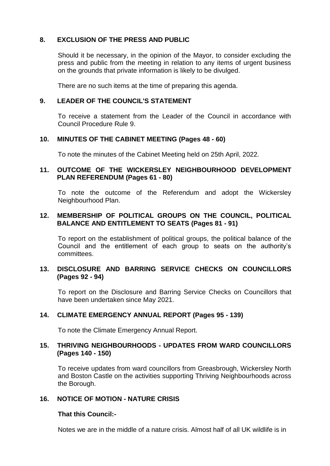### **8. EXCLUSION OF THE PRESS AND PUBLIC**

Should it be necessary, in the opinion of the Mayor, to consider excluding the press and public from the meeting in relation to any items of urgent business on the grounds that private information is likely to be divulged.

There are no such items at the time of preparing this agenda.

#### **9. LEADER OF THE COUNCIL'S STATEMENT**

To receive a statement from the Leader of the Council in accordance with Council Procedure Rule 9.

#### **10. MINUTES OF THE CABINET MEETING (Pages 48 - 60)**

To note the minutes of the Cabinet Meeting held on 25th April, 2022.

#### **11. OUTCOME OF THE WICKERSLEY NEIGHBOURHOOD DEVELOPMENT PLAN REFERENDUM (Pages 61 - 80)**

To note the outcome of the Referendum and adopt the Wickersley Neighbourhood Plan.

### **12. MEMBERSHIP OF POLITICAL GROUPS ON THE COUNCIL, POLITICAL BALANCE AND ENTITLEMENT TO SEATS (Pages 81 - 91)**

To report on the establishment of political groups, the political balance of the Council and the entitlement of each group to seats on the authority's committees.

#### **13. DISCLOSURE AND BARRING SERVICE CHECKS ON COUNCILLORS (Pages 92 - 94)**

To report on the Disclosure and Barring Service Checks on Councillors that have been undertaken since May 2021.

#### **14. CLIMATE EMERGENCY ANNUAL REPORT (Pages 95 - 139)**

To note the Climate Emergency Annual Report.

#### **15. THRIVING NEIGHBOURHOODS - UPDATES FROM WARD COUNCILLORS (Pages 140 - 150)**

To receive updates from ward councillors from Greasbrough, Wickersley North and Boston Castle on the activities supporting Thriving Neighbourhoods across the Borough.

### **16. NOTICE OF MOTION - NATURE CRISIS**

#### **That this Council:-**

Notes we are in the middle of a nature crisis. Almost half of all UK wildlife is in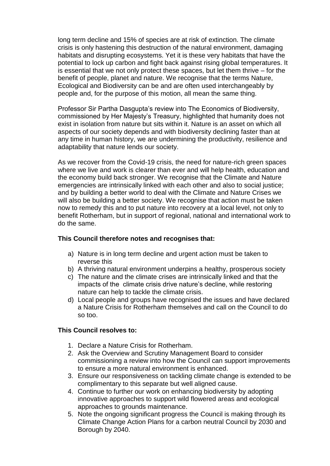long term decline and 15% of species are at risk of extinction. The climate crisis is only hastening this destruction of the natural environment, damaging habitats and disrupting ecosystems. Yet it is these very habitats that have the potential to lock up carbon and fight back against rising global temperatures. It is essential that we not only protect these spaces, but let them thrive – for the benefit of people, planet and nature. We recognise that the terms Nature, Ecological and Biodiversity can be and are often used interchangeably by people and, for the purpose of this motion, all mean the same thing.

Professor Sir Partha Dasgupta's review into The Economics of Biodiversity, commissioned by Her Majesty's Treasury, highlighted that humanity does not exist in isolation from nature but sits within it. Nature is an asset on which all aspects of our society depends and with biodiversity declining faster than at any time in human history, we are undermining the productivity, resilience and adaptability that nature lends our society.

As we recover from the Covid-19 crisis, the need for nature-rich green spaces where we live and work is clearer than ever and will help health, education and the economy build back stronger. We recognise that the Climate and Nature emergencies are intrinsically linked with each other and also to social justice; and by building a better world to deal with the Climate and Nature Crises we will also be building a better society. We recognise that action must be taken now to remedy this and to put nature into recovery at a local level, not only to benefit Rotherham, but in support of regional, national and international work to do the same.

#### **This Council therefore notes and recognises that:**

- a) Nature is in long term decline and urgent action must be taken to reverse this
- b) A thriving natural environment underpins a healthy, prosperous society
- c) The nature and the climate crises are intrinsically linked and that the impacts of the climate crisis drive nature's decline, while restoring nature can help to tackle the climate crisis.
- d) Local people and groups have recognised the issues and have declared a Nature Crisis for Rotherham themselves and call on the Council to do so too.

### **This Council resolves to:**

- 1. Declare a Nature Crisis for Rotherham.
- 2. Ask the Overview and Scrutiny Management Board to consider commissioning a review into how the Council can support improvements to ensure a more natural environment is enhanced.
- 3. Ensure our responsiveness on tackling climate change is extended to be complimentary to this separate but well aligned cause.
- 4. Continue to further our work on enhancing biodiversity by adopting innovative approaches to support wild flowered areas and ecological approaches to grounds maintenance.
- 5. Note the ongoing significant progress the Council is making through its Climate Change Action Plans for a carbon neutral Council by 2030 and Borough by 2040.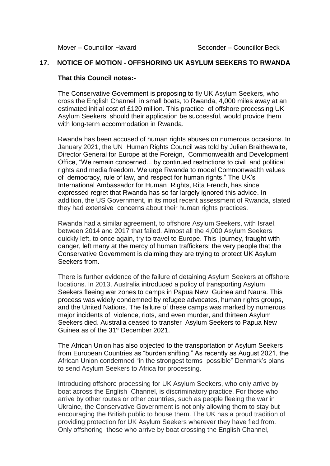#### **17. NOTICE OF MOTION - OFFSHORING UK ASYLUM SEEKERS TO RWANDA**

#### **That this Council notes:-**

The Conservative Government is proposing to fly UK Asylum Seekers, who cross the English Channel in small boats, to Rwanda, 4,000 miles away at an estimated initial cost of £120 million. This practice of offshore processing UK Asylum Seekers, should their application be successful, would provide them with long-term accommodation in Rwanda.

Rwanda has been accused of human rights abuses on numerous occasions. In January 2021, the UN Human Rights Council was told by Julian Braithewaite, Director General for Europe at the Foreign, Commonwealth and Development Office, "We remain concerned... by continued restrictions to civil and political rights and media freedom. We urge Rwanda to model Commonwealth values of democracy, rule of law, and respect for human rights." The UK's International Ambassador for Human Rights, Rita French, has since expressed regret that Rwanda has so far largely ignored this advice. In addition, the US Government, in its most recent assessment of Rwanda, stated they had extensive concerns about their human rights practices.

Rwanda had a similar agreement, to offshore Asylum Seekers, with Israel, between 2014 and 2017 that failed. Almost all the 4,000 Asylum Seekers quickly left, to once again, try to travel to Europe. This journey, fraught with danger, left many at the mercy of human traffickers; the very people that the Conservative Government is claiming they are trying to protect UK Asylum Seekers from.

There is further evidence of the failure of detaining Asylum Seekers at offshore locations. In 2013, Australia introduced a policy of transporting Asylum Seekers fleeing war zones to camps in Papua New Guinea and Naura. This process was widely condemned by refugee advocates, human rights groups, and the United Nations. The failure of these camps was marked by numerous major incidents of violence, riots, and even murder, and thirteen Asylum Seekers died. Australia ceased to transfer Asylum Seekers to Papua New Guinea as of the 31<sup>st</sup> December 2021.

The African Union has also objected to the transportation of Asylum Seekers from European Countries as "burden shifting." As recently as August 2021, the African Union condemned "in the strongest terms possible" Denmark's plans to send Asylum Seekers to Africa for processing.

Introducing offshore processing for UK Asylum Seekers, who only arrive by boat across the English Channel, is discriminatory practice. For those who arrive by other routes or other countries, such as people fleeing the war in Ukraine, the Conservative Government is not only allowing them to stay but encouraging the British public to house them. The UK has a proud tradition of providing protection for UK Asylum Seekers wherever they have fled from. Only offshoring those who arrive by boat crossing the English Channel,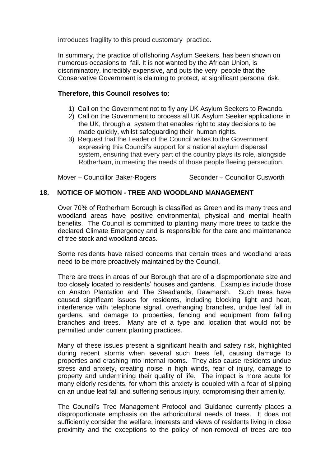introduces fragility to this proud customary practice.

In summary, the practice of offshoring Asylum Seekers, has been shown on numerous occasions to fail. It is not wanted by the African Union, is discriminatory, incredibly expensive, and puts the very people that the Conservative Government is claiming to protect, at significant personal risk.

#### **Therefore, this Council resolves to:**

- 1) Call on the Government not to fly any UK Asylum Seekers to Rwanda.
- 2) Call on the Government to process all UK Asylum Seeker applications in the UK, through a system that enables right to stay decisions to be made quickly, whilst safeguarding their human rights.
- 3) Request that the Leader of the Council writes to the Government expressing this Council's support for a national asylum dispersal system, ensuring that every part of the country plays its role, alongside Rotherham, in meeting the needs of those people fleeing persecution.

Mover – Councillor Baker-Rogers Seconder – Councillor Cusworth

### **18. NOTICE OF MOTION - TREE AND WOODLAND MANAGEMENT**

Over 70% of Rotherham Borough is classified as Green and its many trees and woodland areas have positive environmental, physical and mental health benefits. The Council is committed to planting many more trees to tackle the declared Climate Emergency and is responsible for the care and maintenance of tree stock and woodland areas.

Some residents have raised concerns that certain trees and woodland areas need to be more proactively maintained by the Council.

There are trees in areas of our Borough that are of a disproportionate size and too closely located to residents' houses and gardens. Examples include those on Anston Plantation and The Steadlands, Rawmarsh. Such trees have caused significant issues for residents, including blocking light and heat, interference with telephone signal, overhanging branches, undue leaf fall in gardens, and damage to properties, fencing and equipment from falling branches and trees. Many are of a type and location that would not be permitted under current planting practices.

Many of these issues present a significant health and safety risk, highlighted during recent storms when several such trees fell, causing damage to properties and crashing into internal rooms. They also cause residents undue stress and anxiety, creating noise in high winds, fear of injury, damage to property and undermining their quality of life. The impact is more acute for many elderly residents, for whom this anxiety is coupled with a fear of slipping on an undue leaf fall and suffering serious injury, compromising their amenity.

The Council's Tree Management Protocol and Guidance currently places a disproportionate emphasis on the arboricultural needs of trees. It does not sufficiently consider the welfare, interests and views of residents living in close proximity and the exceptions to the policy of non-removal of trees are too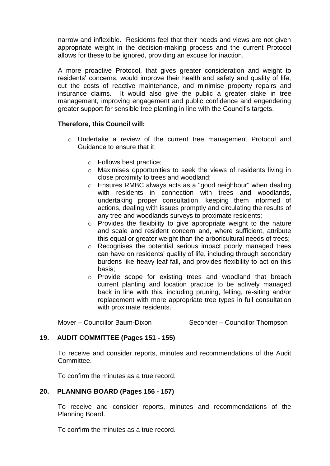narrow and inflexible. Residents feel that their needs and views are not given appropriate weight in the decision-making process and the current Protocol allows for these to be ignored, providing an excuse for inaction.

A more proactive Protocol, that gives greater consideration and weight to residents' concerns, would improve their health and safety and quality of life, cut the costs of reactive maintenance, and minimise property repairs and insurance claims. It would also give the public a greater stake in tree management, improving engagement and public confidence and engendering greater support for sensible tree planting in line with the Council's targets.

### **Therefore, this Council will:**

- o Undertake a review of the current tree management Protocol and Guidance to ensure that it:
	- o Follows best practice;
	- o Maximises opportunities to seek the views of residents living in close proximity to trees and woodland;
	- o Ensures RMBC always acts as a "good neighbour" when dealing with residents in connection with trees and woodlands, undertaking proper consultation, keeping them informed of actions, dealing with issues promptly and circulating the results of any tree and woodlands surveys to proximate residents;
	- o Provides the flexibility to give appropriate weight to the nature and scale and resident concern and, where sufficient, attribute this equal or greater weight than the arboricultural needs of trees;
	- o Recognises the potential serious impact poorly managed trees can have on residents' quality of life, including through secondary burdens like heavy leaf fall, and provides flexibility to act on this basis;
	- o Provide scope for existing trees and woodland that breach current planting and location practice to be actively managed back in line with this, including pruning, felling, re-siting and/or replacement with more appropriate tree types in full consultation with proximate residents.

Mover – Councillor Baum-Dixon Seconder – Councillor Thompson

### **19. AUDIT COMMITTEE (Pages 151 - 155)**

To receive and consider reports, minutes and recommendations of the Audit Committee.

To confirm the minutes as a true record.

#### **20. PLANNING BOARD (Pages 156 - 157)**

To receive and consider reports, minutes and recommendations of the Planning Board.

To confirm the minutes as a true record.